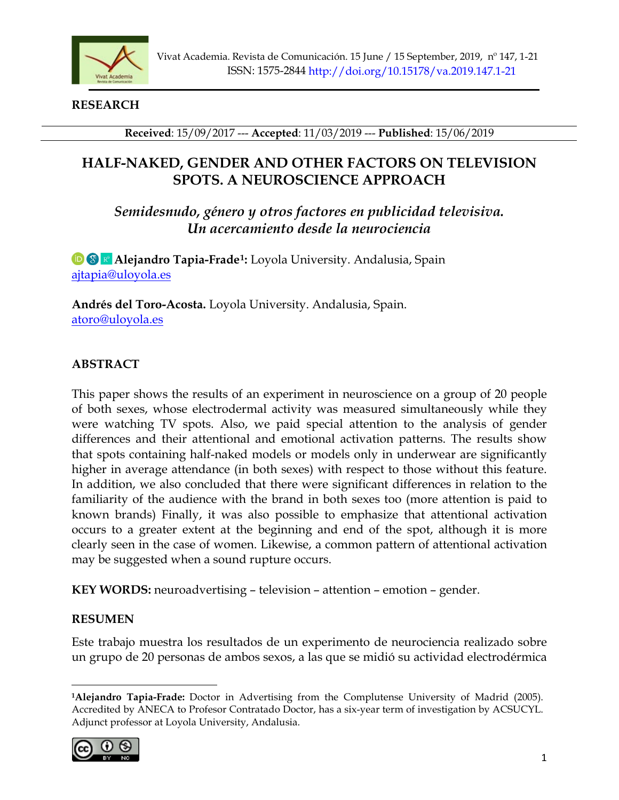

**RESEARCH**

**Received**: 15/09/2017 --- **Accepted**: 11/03/2019 --- **Published**: 15/06/2019

# **HALF-NAKED, GENDER AND OTHER FACTORS ON TELEVISION SPOTS. A NEUROSCIENCE APPROACH**

*Semidesnudo, género y otros factores en publicidad televisiva. Un acercamiento desde la neurociencia*

**<sup>1</sup>** $\bullet$  **<b>a Alejandro Tapia-Frade<sup>1</sup>:** Loyola University. Andalusia, Spain [ajtapia@uloyola.es](mailto:ajtapia@uloyola.es) 

**Andrés del Toro-Acosta.** Loyola University. Andalusia, Spain. [atoro@uloyola.es](mailto:atoro@uloyola.es)

# **ABSTRACT**

This paper shows the results of an experiment in neuroscience on a group of 20 people of both sexes, whose electrodermal activity was measured simultaneously while they were watching TV spots. Also, we paid special attention to the analysis of gender differences and their attentional and emotional activation patterns. The results show that spots containing half-naked models or models only in underwear are significantly higher in average attendance (in both sexes) with respect to those without this feature. In addition, we also concluded that there were significant differences in relation to the familiarity of the audience with the brand in both sexes too (more attention is paid to known brands) Finally, it was also possible to emphasize that attentional activation occurs to a greater extent at the beginning and end of the spot, although it is more clearly seen in the case of women. Likewise, a common pattern of attentional activation may be suggested when a sound rupture occurs.

**KEY WORDS:** neuroadvertising – television – attention – emotion – gender.

# **RESUMEN**

Este trabajo muestra los resultados de un experimento de neurociencia realizado sobre un grupo de 20 personas de ambos sexos, a las que se midió su actividad electrodérmica

<span id="page-0-0"></span>**<sup>1</sup>Alejandro Tapia-Frade:** Doctor in Advertising from the Complutense University of Madrid (2005). Accredited by ANECA to Profesor Contratado Doctor, has a six-year term of investigation by ACSUCYL. Adjunct professor at Loyola University, Andalusia.

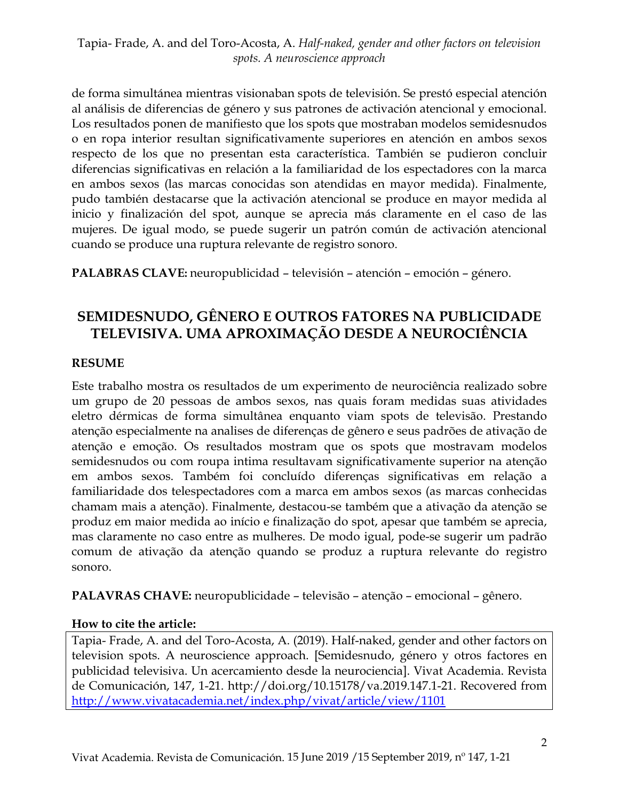de forma simultánea mientras visionaban spots de televisión. Se prestó especial atención al análisis de diferencias de género y sus patrones de activación atencional y emocional. Los resultados ponen de manifiesto que los spots que mostraban modelos semidesnudos o en ropa interior resultan significativamente superiores en atención en ambos sexos respecto de los que no presentan esta característica. También se pudieron concluir diferencias significativas en relación a la familiaridad de los espectadores con la marca en ambos sexos (las marcas conocidas son atendidas en mayor medida). Finalmente, pudo también destacarse que la activación atencional se produce en mayor medida al inicio y finalización del spot, aunque se aprecia más claramente en el caso de las mujeres. De igual modo, se puede sugerir un patrón común de activación atencional cuando se produce una ruptura relevante de registro sonoro.

**PALABRAS CLAVE:** neuropublicidad – televisión – atención – emoción – género.

# **SEMIDESNUDO, GÊNERO E OUTROS FATORES NA PUBLICIDADE TELEVISIVA. UMA APROXIMAÇÃO DESDE A NEUROCIÊNCIA**

# **RESUME**

Este trabalho mostra os resultados de um experimento de neurociência realizado sobre um grupo de 20 pessoas de ambos sexos, nas quais foram medidas suas atividades eletro dérmicas de forma simultânea enquanto viam spots de televisão. Prestando atenção especialmente na analises de diferenças de gênero e seus padrões de ativação de atenção e emoção. Os resultados mostram que os spots que mostravam modelos semidesnudos ou com roupa intima resultavam significativamente superior na atenção em ambos sexos. Também foi concluído diferenças significativas em relação a familiaridade dos telespectadores com a marca em ambos sexos (as marcas conhecidas chamam mais a atenção). Finalmente, destacou-se também que a ativação da atenção se produz em maior medida ao início e finalização do spot, apesar que também se aprecia, mas claramente no caso entre as mulheres. De modo igual, pode-se sugerir um padrão comum de ativação da atenção quando se produz a ruptura relevante do registro sonoro.

**PALAVRAS CHAVE:** neuropublicidade – televisão – atenção – emocional – gênero.

# **How to cite the article:**

Tapia- Frade, A. and del Toro-Acosta, A. (2019). Half-naked, gender and other factors on television spots. A neuroscience approach. [Semidesnudo, género y otros factores en publicidad televisiva. Un acercamiento desde la neurociencia]. Vivat Academia. Revista de Comunicación, 147, 1-21. http://doi.org/10.15178/va.2019.147.1-21. Recovered from <http://www.vivatacademia.net/index.php/vivat/article/view/1101>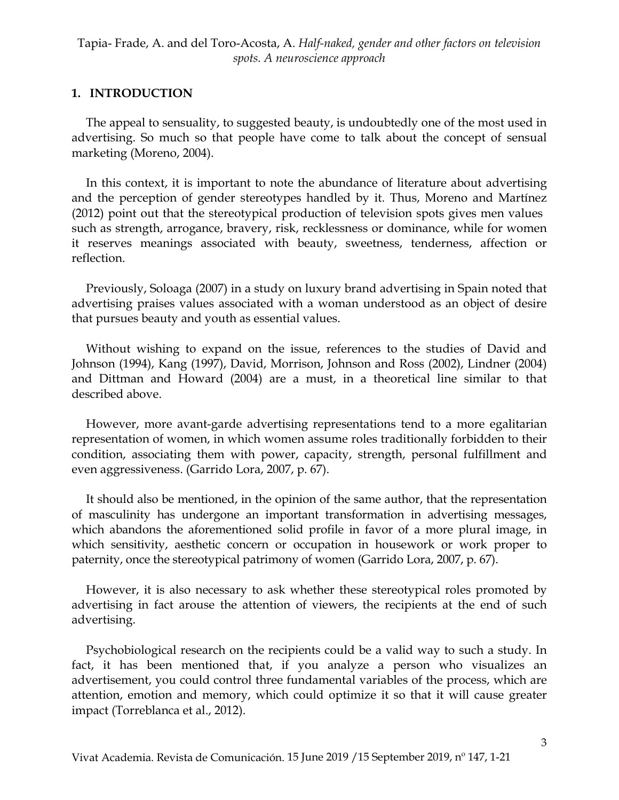### **1. INTRODUCTION**

The appeal to sensuality, to suggested beauty, is undoubtedly one of the most used in advertising. So much so that people have come to talk about the concept of sensual marketing (Moreno, 2004).

In this context, it is important to note the abundance of literature about advertising and the perception of gender stereotypes handled by it. Thus, Moreno and Martínez (2012) point out that the stereotypical production of television spots gives men values such as strength, arrogance, bravery, risk, recklessness or dominance, while for women it reserves meanings associated with beauty, sweetness, tenderness, affection or reflection.

Previously, Soloaga (2007) in a study on luxury brand advertising in Spain noted that advertising praises values associated with a woman understood as an object of desire that pursues beauty and youth as essential values.

Without wishing to expand on the issue, references to the studies of David and Johnson (1994), Kang (1997), David, Morrison, Johnson and Ross (2002), Lindner (2004) and Dittman and Howard (2004) are a must, in a theoretical line similar to that described above.

However, more avant-garde advertising representations tend to a more egalitarian representation of women, in which women assume roles traditionally forbidden to their condition, associating them with power, capacity, strength, personal fulfillment and even aggressiveness. (Garrido Lora, 2007, p. 67).

It should also be mentioned, in the opinion of the same author, that the representation of masculinity has undergone an important transformation in advertising messages, which abandons the aforementioned solid profile in favor of a more plural image, in which sensitivity, aesthetic concern or occupation in housework or work proper to paternity, once the stereotypical patrimony of women (Garrido Lora, 2007, p. 67).

However, it is also necessary to ask whether these stereotypical roles promoted by advertising in fact arouse the attention of viewers, the recipients at the end of such advertising.

Psychobiological research on the recipients could be a valid way to such a study. In fact, it has been mentioned that, if you analyze a person who visualizes an advertisement, you could control three fundamental variables of the process, which are attention, emotion and memory, which could optimize it so that it will cause greater impact (Torreblanca et al., 2012).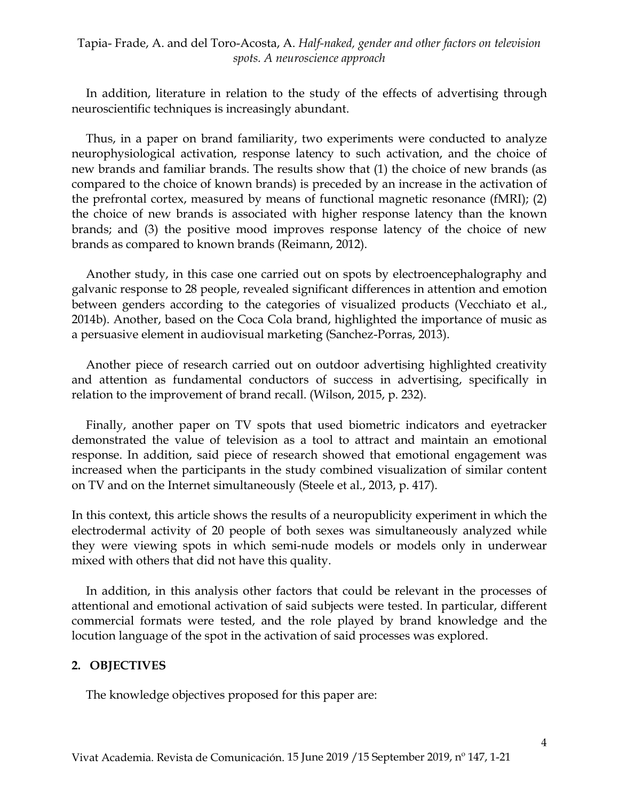In addition, literature in relation to the study of the effects of advertising through neuroscientific techniques is increasingly abundant.

Thus, in a paper on brand familiarity, two experiments were conducted to analyze neurophysiological activation, response latency to such activation, and the choice of new brands and familiar brands. The results show that (1) the choice of new brands (as compared to the choice of known brands) is preceded by an increase in the activation of the prefrontal cortex, measured by means of functional magnetic resonance (fMRI); (2) the choice of new brands is associated with higher response latency than the known brands; and (3) the positive mood improves response latency of the choice of new brands as compared to known brands (Reimann, 2012).

Another study, in this case one carried out on spots by electroencephalography and galvanic response to 28 people, revealed significant differences in attention and emotion between genders according to the categories of visualized products (Vecchiato et al., 2014b). Another, based on the Coca Cola brand, highlighted the importance of music as a persuasive element in audiovisual marketing (Sanchez-Porras, 2013).

Another piece of research carried out on outdoor advertising highlighted creativity and attention as fundamental conductors of success in advertising, specifically in relation to the improvement of brand recall. (Wilson, 2015, p. 232).

Finally, another paper on TV spots that used biometric indicators and eyetracker demonstrated the value of television as a tool to attract and maintain an emotional response. In addition, said piece of research showed that emotional engagement was increased when the participants in the study combined visualization of similar content on TV and on the Internet simultaneously (Steele et al., 2013, p. 417).

In this context, this article shows the results of a neuropublicity experiment in which the electrodermal activity of 20 people of both sexes was simultaneously analyzed while they were viewing spots in which semi-nude models or models only in underwear mixed with others that did not have this quality.

In addition, in this analysis other factors that could be relevant in the processes of attentional and emotional activation of said subjects were tested. In particular, different commercial formats were tested, and the role played by brand knowledge and the locution language of the spot in the activation of said processes was explored.

#### **2. OBJECTIVES**

The knowledge objectives proposed for this paper are: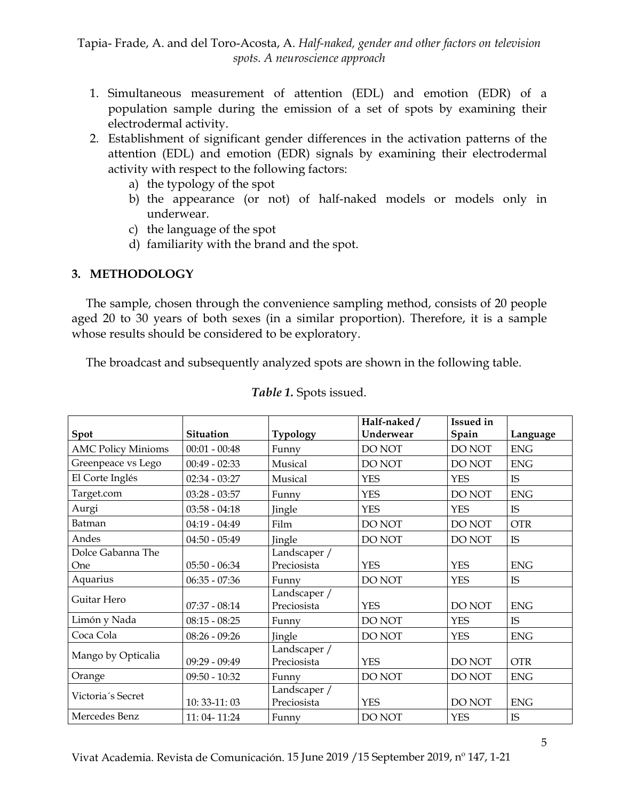- 1. Simultaneous measurement of attention (EDL) and emotion (EDR) of a population sample during the emission of a set of spots by examining their electrodermal activity.
- 2. Establishment of significant gender differences in the activation patterns of the attention (EDL) and emotion (EDR) signals by examining their electrodermal activity with respect to the following factors:
	- a) the typology of the spot
	- b) the appearance (or not) of half-naked models or models only in underwear.
	- c) the language of the spot
	- d) familiarity with the brand and the spot.

### **3. METHODOLOGY**

The sample, chosen through the convenience sampling method, consists of 20 people aged 20 to 30 years of both sexes (in a similar proportion). Therefore, it is a sample whose results should be considered to be exploratory.

The broadcast and subsequently analyzed spots are shown in the following table.

|                           |                  |                 | Half-naked/   | <b>Issued</b> in |             |
|---------------------------|------------------|-----------------|---------------|------------------|-------------|
| Spot                      | <b>Situation</b> | <b>Typology</b> | Underwear     | Spain            | Language    |
| <b>AMC Policy Minioms</b> | $00:01 - 00:48$  | Funny           | DO NOT        | DO NOT           | ${\rm ENG}$ |
| Greenpeace vs Lego        | $00:49 - 02:33$  | Musical         | <b>DO NOT</b> | DO NOT           | <b>ENG</b>  |
| El Corte Inglés           | $02:34 - 03:27$  | Musical         | <b>YES</b>    | <b>YES</b>       | IS          |
| Target.com                | $03:28 - 03:57$  | Funny           | <b>YES</b>    | DO NOT           | <b>ENG</b>  |
| Aurgi                     | $03:58 - 04:18$  | Jingle          | <b>YES</b>    | <b>YES</b>       | IS          |
| Batman                    | $04:19 - 04:49$  | Film            | DO NOT        | DO NOT           | <b>OTR</b>  |
| Andes                     | $04:50 - 05:49$  | Jingle          | DO NOT        | DO NOT           | IS          |
| Dolce Gabanna The         |                  | Landscaper /    |               |                  |             |
| One                       | $05:50 - 06:34$  | Preciosista     | <b>YES</b>    | <b>YES</b>       | <b>ENG</b>  |
| Aquarius                  | $06:35 - 07:36$  | Funny           | DO NOT        | <b>YES</b>       | IS          |
| Guitar Hero               |                  | Landscaper /    |               |                  |             |
|                           | $07:37 - 08:14$  | Preciosista     | <b>YES</b>    | DO NOT           | <b>ENG</b>  |
| Limón y Nada              | $08:15 - 08:25$  | Funny           | DO NOT        | <b>YES</b>       | IS          |
| Coca Cola                 | $08:26 - 09:26$  | Jingle          | DO NOT        | <b>YES</b>       | <b>ENG</b>  |
| Mango by Opticalia        |                  | Landscaper /    |               |                  |             |
|                           | $09:29 - 09:49$  | Preciosista     | <b>YES</b>    | DO NOT           | <b>OTR</b>  |
| Orange                    | $09:50 - 10:32$  | Funny           | <b>DO NOT</b> | DO NOT           | <b>ENG</b>  |
| Victoria´s Secret         |                  | Landscaper /    |               |                  |             |
|                           | 10: 33-11: 03    | Preciosista     | <b>YES</b>    | DO NOT           | <b>ENG</b>  |
| Mercedes Benz             | 11:04-11:24      | Funny           | DO NOT        | <b>YES</b>       | <b>IS</b>   |

*Table 1.* Spots issued.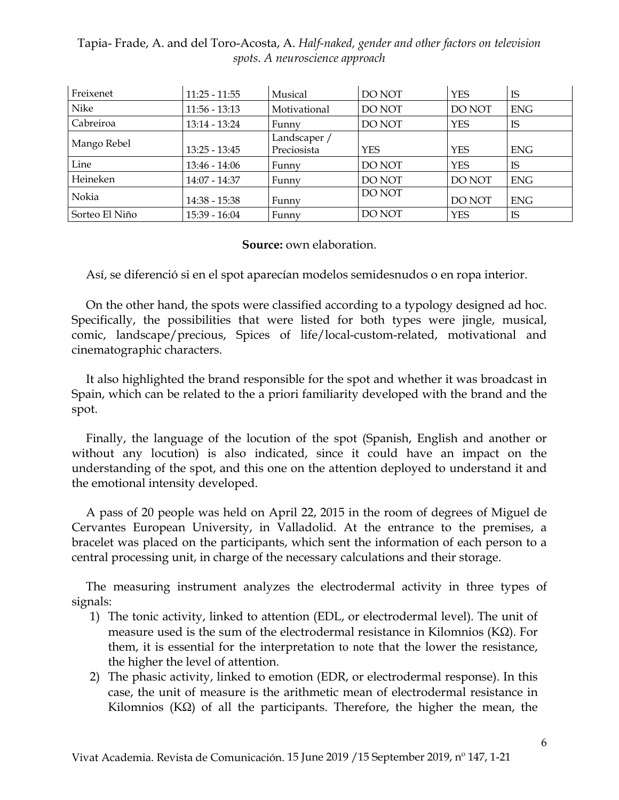| Freixenet      | $11:25 - 11:55$ | Musical                     | DO NOT     | <b>YES</b> | IS         |
|----------------|-----------------|-----------------------------|------------|------------|------------|
| Nike           | $11:56 - 13:13$ | Motivational                | DO NOT     | DO NOT     | <b>ENG</b> |
| Cabreiroa      | $13:14 - 13:24$ | Funny                       | DO NOT     | <b>YES</b> | IS         |
| Mango Rebel    | $13:25 - 13:45$ | Landscaper /<br>Preciosista | <b>YES</b> | <b>YES</b> | <b>ENG</b> |
| Line           | $13:46 - 14:06$ | Funny                       | DO NOT     | <b>YES</b> | IS         |
| Heineken       | 14:07 - 14:37   | Funny                       | DO NOT     | DO NOT     | <b>ENG</b> |
| Nokia          | $14:38 - 15:38$ | Funny                       | DO NOT     | DO NOT     | <b>ENG</b> |
| Sorteo El Niño | 15:39 - 16:04   | Funny                       | DO NOT     | <b>YES</b> | IS         |

#### **Source:** own elaboration.

Así, se diferenció si en el spot aparecían modelos semidesnudos o en ropa interior.

On the other hand, the spots were classified according to a typology designed ad hoc. Specifically, the possibilities that were listed for both types were jingle, musical, comic, landscape/precious, Spices of life/local-custom-related, motivational and cinematographic characters.

It also highlighted the brand responsible for the spot and whether it was broadcast in Spain, which can be related to the a priori familiarity developed with the brand and the spot.

Finally, the language of the locution of the spot (Spanish, English and another or without any locution) is also indicated, since it could have an impact on the understanding of the spot, and this one on the attention deployed to understand it and the emotional intensity developed.

A pass of 20 people was held on April 22, 2015 in the room of degrees of Miguel de Cervantes European University, in Valladolid. At the entrance to the premises, a bracelet was placed on the participants, which sent the information of each person to a central processing unit, in charge of the necessary calculations and their storage.

The measuring instrument analyzes the electrodermal activity in three types of signals:

- 1) The tonic activity, linked to attention (EDL, or electrodermal level). The unit of measure used is the sum of the electrodermal resistance in Kilomnios (K $\Omega$ ). For them, it is essential for the interpretation to note that the lower the resistance, the higher the level of attention.
- 2) The phasic activity, linked to emotion (EDR, or electrodermal response). In this case, the unit of measure is the arithmetic mean of electrodermal resistance in Kilomnios (K $\Omega$ ) of all the participants. Therefore, the higher the mean, the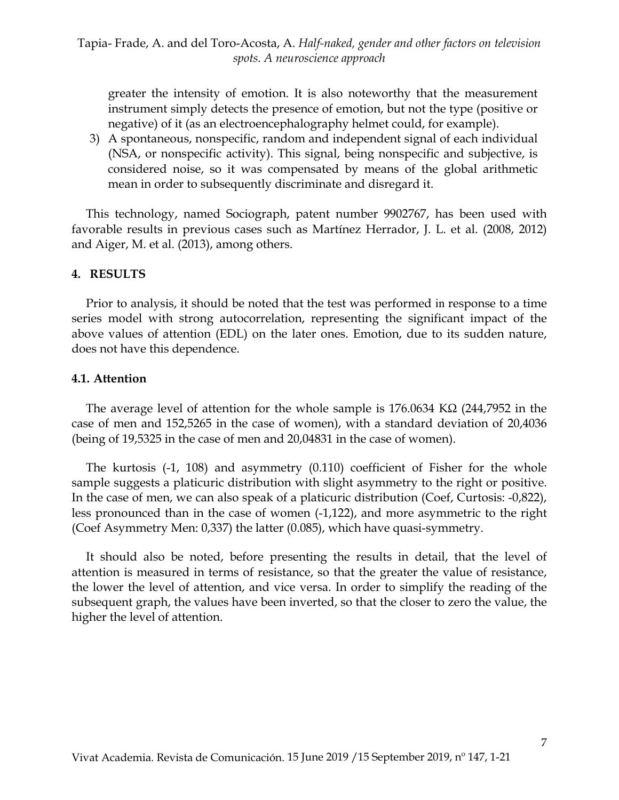greater the intensity of emotion. It is also noteworthy that the measurement instrument simply detects the presence of emotion, but not the type (positive or negative) of it (as an electroencephalography helmet could, for example).

3) A spontaneous, nonspecific, random and independent signal of each individual (NSA, or nonspecific activity). This signal, being nonspecific and subjective, is considered noise, so it was compensated by means of the global arithmetic mean in order to subsequently discriminate and disregard it.

This technology, named Sociograph, patent number 9902767, has been used with favorable results in previous cases such as Martínez Herrador, J. L. et al. (2008, 2012) and Aiger, M. et al. (2013), among others.

### **4. RESULTS**

Prior to analysis, it should be noted that the test was performed in response to a time series model with strong autocorrelation, representing the significant impact of the above values of attention (EDL) on the later ones. Emotion, due to its sudden nature, does not have this dependence.

#### **4.1. Attention**

The average level of attention for the whole sample is  $176.0634$  K $\Omega$  (244,7952 in the case of men and 152,5265 in the case of women), with a standard deviation of 20,4036 (being of 19,5325 in the case of men and 20,04831 in the case of women).

The kurtosis (-1, 108) and asymmetry (0.110) coefficient of Fisher for the whole sample suggests a platicuric distribution with slight asymmetry to the right or positive. In the case of men, we can also speak of a platicuric distribution (Coef, Curtosis: -0,822), less pronounced than in the case of women (-1,122), and more asymmetric to the right (Coef Asymmetry Men: 0,337) the latter (0.085), which have quasi-symmetry.

It should also be noted, before presenting the results in detail, that the level of attention is measured in terms of resistance, so that the greater the value of resistance, the lower the level of attention, and vice versa. In order to simplify the reading of the subsequent graph, the values have been inverted, so that the closer to zero the value, the higher the level of attention.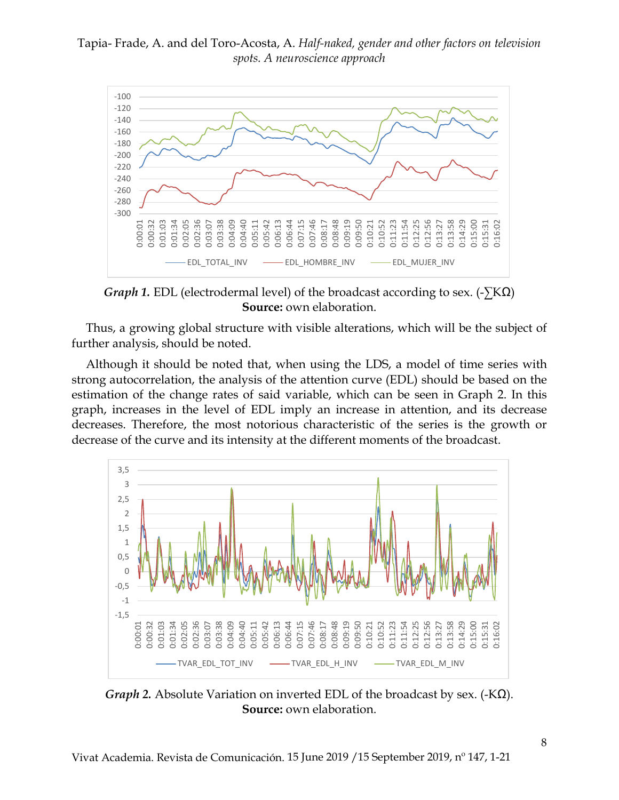

*Graph 1.* EDL (electrodermal level) of the broadcast according to sex. (-∑KΩ) **Source:** own elaboration.

Thus, a growing global structure with visible alterations, which will be the subject of further analysis, should be noted.

Although it should be noted that, when using the LDS, a model of time series with strong autocorrelation, the analysis of the attention curve (EDL) should be based on the estimation of the change rates of said variable, which can be seen in Graph 2. In this graph, increases in the level of EDL imply an increase in attention, and its decrease decreases. Therefore, the most notorious characteristic of the series is the growth or decrease of the curve and its intensity at the different moments of the broadcast.



*Graph 2.* Absolute Variation on inverted EDL of the broadcast by sex. (-KΩ). **Source:** own elaboration.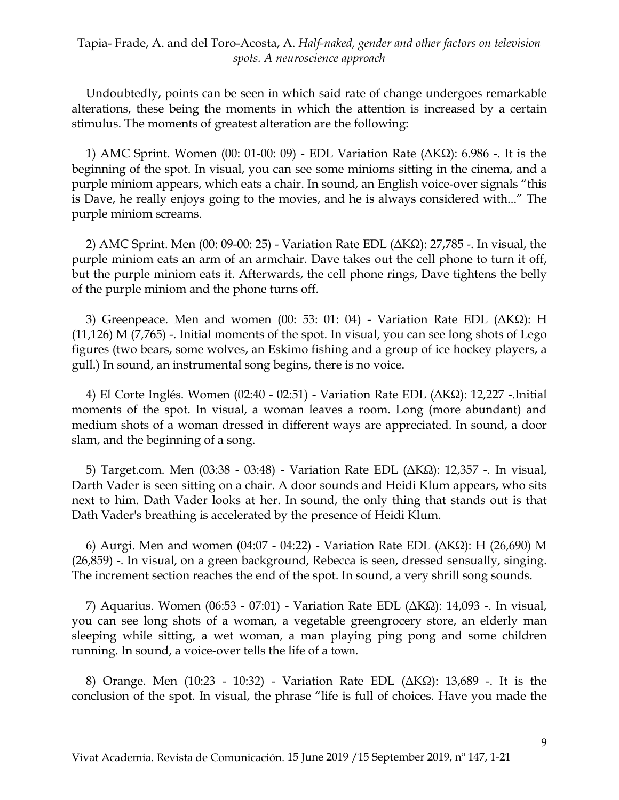Undoubtedly, points can be seen in which said rate of change undergoes remarkable alterations, these being the moments in which the attention is increased by a certain stimulus. The moments of greatest alteration are the following:

1) AMC Sprint. Women (00: 01-00: 09) - EDL Variation Rate (ΔKΩ): 6.986 -. It is the beginning of the spot. In visual, you can see some minioms sitting in the cinema, and a purple miniom appears, which eats a chair. In sound, an English voice-over signals "this is Dave, he really enjoys going to the movies, and he is always considered with..." The purple miniom screams.

2) AMC Sprint. Men (00: 09-00: 25) - Variation Rate EDL (ΔKΩ): 27,785 -. In visual, the purple miniom eats an arm of an armchair. Dave takes out the cell phone to turn it off, but the purple miniom eats it. Afterwards, the cell phone rings, Dave tightens the belly of the purple miniom and the phone turns off.

3) Greenpeace. Men and women (00: 53: 01: 04) - Variation Rate EDL (ΔKΩ): H  $(11,126)$  M  $(7,765)$  -. Initial moments of the spot. In visual, you can see long shots of Lego figures (two bears, some wolves, an Eskimo fishing and a group of ice hockey players, a gull.) In sound, an instrumental song begins, there is no voice.

4) El Corte Inglés. Women (02:40 - 02:51) - Variation Rate EDL (ΔKΩ): 12,227 -.Initial moments of the spot. In visual, a woman leaves a room. Long (more abundant) and medium shots of a woman dressed in different ways are appreciated. In sound, a door slam, and the beginning of a song.

5) Target.com. Men (03:38 - 03:48) - Variation Rate EDL (ΔKΩ): 12,357 -. In visual, Darth Vader is seen sitting on a chair. A door sounds and Heidi Klum appears, who sits next to him. Dath Vader looks at her. In sound, the only thing that stands out is that Dath Vader's breathing is accelerated by the presence of Heidi Klum.

6) Aurgi. Men and women (04:07 - 04:22) - Variation Rate EDL (ΔKΩ): H (26,690) M (26,859) -. In visual, on a green background, Rebecca is seen, dressed sensually, singing. The increment section reaches the end of the spot. In sound, a very shrill song sounds.

7) Aquarius. Women (06:53 - 07:01) - Variation Rate EDL (ΔKΩ): 14,093 -. In visual, you can see long shots of a woman, a vegetable greengrocery store, an elderly man sleeping while sitting, a wet woman, a man playing ping pong and some children running. In sound, a voice-over tells the life of a town.

8) Orange. Men (10:23 - 10:32) - Variation Rate EDL (ΔKΩ): 13,689 -. It is the conclusion of the spot. In visual, the phrase "life is full of choices. Have you made the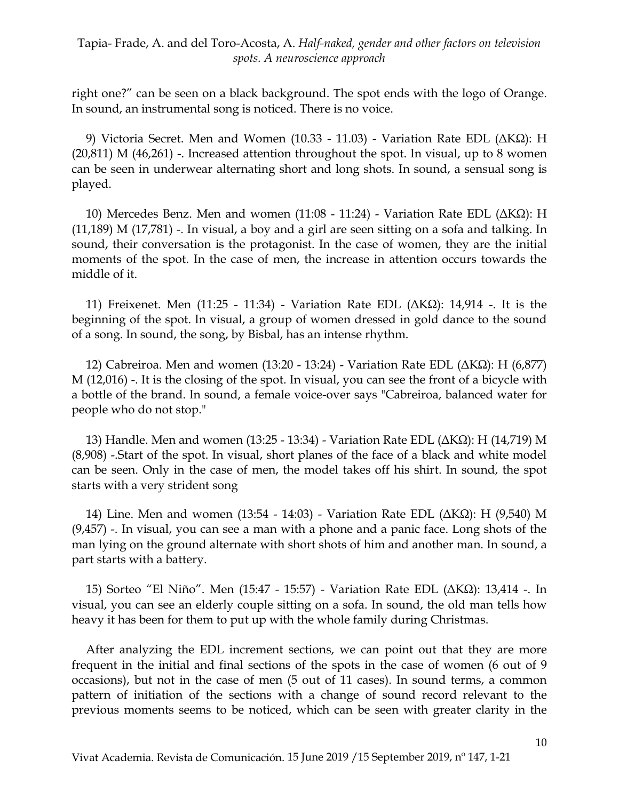right one?" can be seen on a black background. The spot ends with the logo of Orange. In sound, an instrumental song is noticed. There is no voice.

9) Victoria Secret. Men and Women (10.33 - 11.03) - Variation Rate EDL (ΔKΩ): H  $(20,811)$  M  $(46,261)$  -. Increased attention throughout the spot. In visual, up to 8 women can be seen in underwear alternating short and long shots. In sound, a sensual song is played.

10) Mercedes Benz. Men and women (11:08 - 11:24) - Variation Rate EDL (ΔKΩ): H  $(11,189)$  M  $(17,781)$  -. In visual, a boy and a girl are seen sitting on a sofa and talking. In sound, their conversation is the protagonist. In the case of women, they are the initial moments of the spot. In the case of men, the increase in attention occurs towards the middle of it.

11) Freixenet. Men (11:25 - 11:34) - Variation Rate EDL (ΔKΩ): 14,914 -. It is the beginning of the spot. In visual, a group of women dressed in gold dance to the sound of a song. In sound, the song, by Bisbal, has an intense rhythm.

12) Cabreiroa. Men and women (13:20 - 13:24) - Variation Rate EDL (ΔKΩ): H (6,877) M (12,016) -. It is the closing of the spot. In visual, you can see the front of a bicycle with a bottle of the brand. In sound, a female voice-over says "Cabreiroa, balanced water for people who do not stop."

13) Handle. Men and women (13:25 - 13:34) - Variation Rate EDL (ΔKΩ): H (14,719) M (8,908) -.Start of the spot. In visual, short planes of the face of a black and white model can be seen. Only in the case of men, the model takes off his shirt. In sound, the spot starts with a very strident song

14) Line. Men and women (13:54 - 14:03) - Variation Rate EDL (ΔKΩ): H (9,540) M (9,457) -. In visual, you can see a man with a phone and a panic face. Long shots of the man lying on the ground alternate with short shots of him and another man. In sound, a part starts with a battery.

15) Sorteo "El Niño". Men (15:47 - 15:57) - Variation Rate EDL (ΔKΩ): 13,414 -. In visual, you can see an elderly couple sitting on a sofa. In sound, the old man tells how heavy it has been for them to put up with the whole family during Christmas.

After analyzing the EDL increment sections, we can point out that they are more frequent in the initial and final sections of the spots in the case of women (6 out of 9 occasions), but not in the case of men (5 out of 11 cases). In sound terms, a common pattern of initiation of the sections with a change of sound record relevant to the previous moments seems to be noticed, which can be seen with greater clarity in the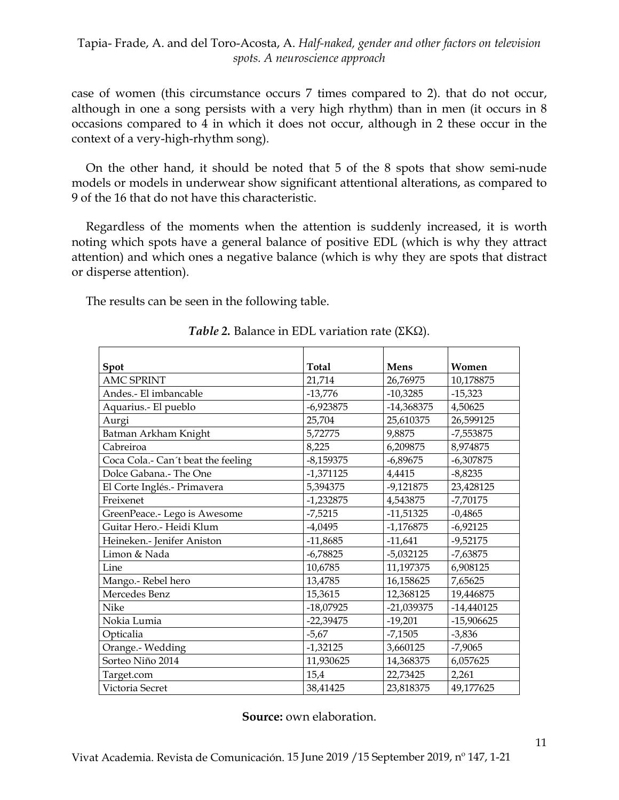case of women (this circumstance occurs 7 times compared to 2). that do not occur, although in one a song persists with a very high rhythm) than in men (it occurs in 8 occasions compared to 4 in which it does not occur, although in 2 these occur in the context of a very-high-rhythm song).

On the other hand, it should be noted that 5 of the 8 spots that show semi-nude models or models in underwear show significant attentional alterations, as compared to 9 of the 16 that do not have this characteristic.

Regardless of the moments when the attention is suddenly increased, it is worth noting which spots have a general balance of positive EDL (which is why they attract attention) and which ones a negative balance (which is why they are spots that distract or disperse attention).

The results can be seen in the following table.

| Spot                               | Total       | Mens         | Women        |
|------------------------------------|-------------|--------------|--------------|
| <b>AMC SPRINT</b>                  | 21,714      | 26,76975     | 10,178875    |
| Andes.- El imbancable              | $-13,776$   | $-10,3285$   | $-15,323$    |
| Aquarius.- El pueblo               | $-6,923875$ | $-14,368375$ | 4,50625      |
| Aurgi                              | 25,704      | 25,610375    | 26,599125    |
| Batman Arkham Knight               | 5,72775     | 9,8875       | -7,553875    |
| Cabreiroa                          | 8,225       | 6,209875     | 8,974875     |
| Coca Cola.- Can't beat the feeling | $-8,159375$ | $-6,89675$   | $-6,307875$  |
| Dolce Gabana.- The One             | $-1,371125$ | 4,4415       | $-8,8235$    |
| El Corte Inglés.- Primavera        | 5,394375    | $-9,121875$  | 23,428125    |
| Freixenet                          | $-1,232875$ | 4,543875     | $-7,70175$   |
| GreenPeace.- Lego is Awesome       | $-7,5215$   | $-11,51325$  | $-0,4865$    |
| Guitar Hero.- Heidi Klum           | $-4,0495$   | $-1,176875$  | $-6,92125$   |
| Heineken.- Jenifer Aniston         | $-11,8685$  | $-11,641$    | $-9,52175$   |
| Limon & Nada                       | $-6,78825$  | $-5,032125$  | $-7,63875$   |
| Line                               | 10,6785     | 11,197375    | 6,908125     |
| Mango.- Rebel hero                 | 13,4785     | 16,158625    | 7,65625      |
| Mercedes Benz                      | 15,3615     | 12,368125    | 19,446875    |
| Nike                               | $-18,07925$ | -21,039375   | -14,440125   |
| Nokia Lumia                        | $-22,39475$ | $-19,201$    | $-15,906625$ |
| Opticalia                          | $-5,67$     | $-7,1505$    | $-3,836$     |
| Orange.- Wedding                   | $-1,32125$  | 3,660125     | $-7,9065$    |
| Sorteo Niño 2014                   | 11,930625   | 14,368375    | 6,057625     |
| Target.com                         | 15,4        | 22,73425     | 2,261        |
| Victoria Secret                    | 38,41425    | 23,818375    | 49,177625    |

*Table* 2. Balance in EDL variation rate (ΣΚΩ).

**Source:** own elaboration.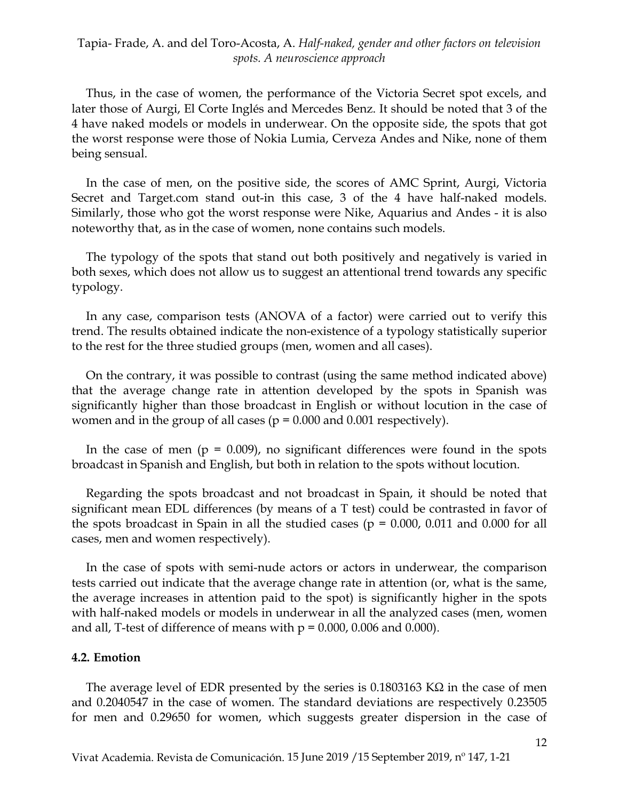Thus, in the case of women, the performance of the Victoria Secret spot excels, and later those of Aurgi, El Corte Inglés and Mercedes Benz. It should be noted that 3 of the 4 have naked models or models in underwear. On the opposite side, the spots that got the worst response were those of Nokia Lumia, Cerveza Andes and Nike, none of them being sensual.

In the case of men, on the positive side, the scores of AMC Sprint, Aurgi, Victoria Secret and Target.com stand out-in this case, 3 of the 4 have half-naked models. Similarly, those who got the worst response were Nike, Aquarius and Andes - it is also noteworthy that, as in the case of women, none contains such models.

The typology of the spots that stand out both positively and negatively is varied in both sexes, which does not allow us to suggest an attentional trend towards any specific typology.

In any case, comparison tests (ANOVA of a factor) were carried out to verify this trend. The results obtained indicate the non-existence of a typology statistically superior to the rest for the three studied groups (men, women and all cases).

On the contrary, it was possible to contrast (using the same method indicated above) that the average change rate in attention developed by the spots in Spanish was significantly higher than those broadcast in English or without locution in the case of women and in the group of all cases ( $p = 0.000$  and 0.001 respectively).

In the case of men ( $p = 0.009$ ), no significant differences were found in the spots broadcast in Spanish and English, but both in relation to the spots without locution.

Regarding the spots broadcast and not broadcast in Spain, it should be noted that significant mean EDL differences (by means of a T test) could be contrasted in favor of the spots broadcast in Spain in all the studied cases ( $p = 0.000$ , 0.011 and 0.000 for all cases, men and women respectively).

In the case of spots with semi-nude actors or actors in underwear, the comparison tests carried out indicate that the average change rate in attention (or, what is the same, the average increases in attention paid to the spot) is significantly higher in the spots with half-naked models or models in underwear in all the analyzed cases (men, women and all, T-test of difference of means with  $p = 0.000$ , 0.006 and 0.000).

#### **4.2. Emotion**

The average level of EDR presented by the series is  $0.1803163$  K $\Omega$  in the case of men and 0.2040547 in the case of women. The standard deviations are respectively 0.23505 for men and 0.29650 for women, which suggests greater dispersion in the case of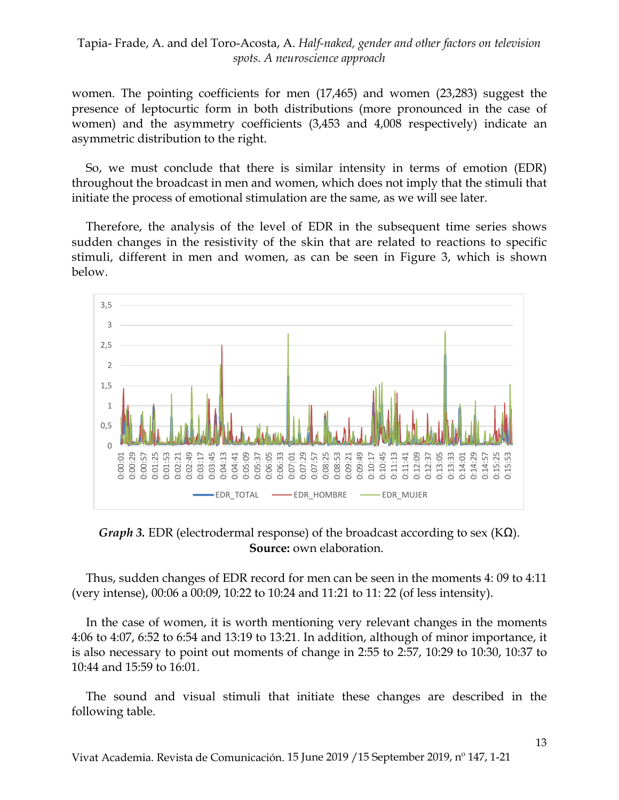women. The pointing coefficients for men (17,465) and women (23,283) suggest the presence of leptocurtic form in both distributions (more pronounced in the case of women) and the asymmetry coefficients (3,453 and 4,008 respectively) indicate an asymmetric distribution to the right.

So, we must conclude that there is similar intensity in terms of emotion (EDR) throughout the broadcast in men and women, which does not imply that the stimuli that initiate the process of emotional stimulation are the same, as we will see later.

Therefore, the analysis of the level of EDR in the subsequent time series shows sudden changes in the resistivity of the skin that are related to reactions to specific stimuli, different in men and women, as can be seen in Figure 3, which is shown below.



*Graph 3.* EDR (electrodermal response) of the broadcast according to sex (KΩ). **Source:** own elaboration.

Thus, sudden changes of EDR record for men can be seen in the moments 4: 09 to 4:11 (very intense), 00:06 a 00:09, 10:22 to 10:24 and 11:21 to 11: 22 (of less intensity).

In the case of women, it is worth mentioning very relevant changes in the moments 4:06 to 4:07, 6:52 to 6:54 and 13:19 to 13:21. In addition, although of minor importance, it is also necessary to point out moments of change in 2:55 to 2:57, 10:29 to 10:30, 10:37 to 10:44 and 15:59 to 16:01.

The sound and visual stimuli that initiate these changes are described in the following table.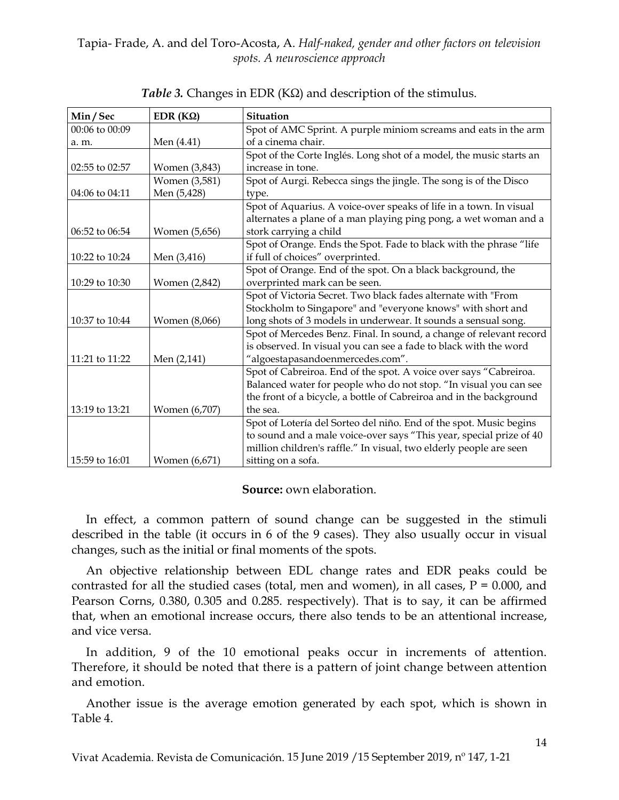| Min/Sec            | EDR (ΚΩ)      | Situation                                                           |  |  |
|--------------------|---------------|---------------------------------------------------------------------|--|--|
| $00:06$ to $00:09$ |               | Spot of AMC Sprint. A purple miniom screams and eats in the arm     |  |  |
| a. m.              | Men (4.41)    | of a cinema chair.                                                  |  |  |
|                    |               | Spot of the Corte Inglés. Long shot of a model, the music starts an |  |  |
| 02:55 to 02:57     | Women (3,843) | increase in tone.                                                   |  |  |
|                    | Women (3,581) | Spot of Aurgi. Rebecca sings the jingle. The song is of the Disco   |  |  |
| 04:06 to 04:11     | Men (5,428)   | type.                                                               |  |  |
|                    |               | Spot of Aquarius. A voice-over speaks of life in a town. In visual  |  |  |
|                    |               | alternates a plane of a man playing ping pong, a wet woman and a    |  |  |
| 06:52 to 06:54     | Women (5,656) | stork carrying a child                                              |  |  |
|                    |               | Spot of Orange. Ends the Spot. Fade to black with the phrase "life  |  |  |
| 10:22 to 10:24     | Men (3,416)   | if full of choices" overprinted.                                    |  |  |
|                    |               | Spot of Orange. End of the spot. On a black background, the         |  |  |
| 10:29 to 10:30     | Women (2,842) | overprinted mark can be seen.                                       |  |  |
|                    |               | Spot of Victoria Secret. Two black fades alternate with "From       |  |  |
|                    |               | Stockholm to Singapore" and "everyone knows" with short and         |  |  |
| 10:37 to 10:44     | Women (8,066) | long shots of 3 models in underwear. It sounds a sensual song.      |  |  |
|                    |               | Spot of Mercedes Benz. Final. In sound, a change of relevant record |  |  |
|                    |               | is observed. In visual you can see a fade to black with the word    |  |  |
| 11:21 to 11:22     | Men (2,141)   | "algoestapasandoenmercedes.com".                                    |  |  |
|                    |               | Spot of Cabreiroa. End of the spot. A voice over says "Cabreiroa.   |  |  |
|                    |               | Balanced water for people who do not stop. "In visual you can see   |  |  |
|                    |               | the front of a bicycle, a bottle of Cabreiroa and in the background |  |  |
| 13:19 to 13:21     | Women (6,707) | the sea.                                                            |  |  |
|                    |               | Spot of Lotería del Sorteo del niño. End of the spot. Music begins  |  |  |
|                    |               | to sound and a male voice-over says "This year, special prize of 40 |  |  |
|                    |               | million children's raffle." In visual, two elderly people are seen  |  |  |
| 15:59 to 16:01     | Women (6,671) | sitting on a sofa.                                                  |  |  |

*Table 3.* Changes in EDR (KΩ) and description of the stimulus.

# **Source:** own elaboration.

In effect, a common pattern of sound change can be suggested in the stimuli described in the table (it occurs in 6 of the 9 cases). They also usually occur in visual changes, such as the initial or final moments of the spots.

An objective relationship between EDL change rates and EDR peaks could be contrasted for all the studied cases (total, men and women), in all cases,  $P = 0.000$ , and Pearson Corns, 0.380, 0.305 and 0.285. respectively). That is to say, it can be affirmed that, when an emotional increase occurs, there also tends to be an attentional increase, and vice versa.

In addition, 9 of the 10 emotional peaks occur in increments of attention. Therefore, it should be noted that there is a pattern of joint change between attention and emotion.

Another issue is the average emotion generated by each spot, which is shown in Table 4.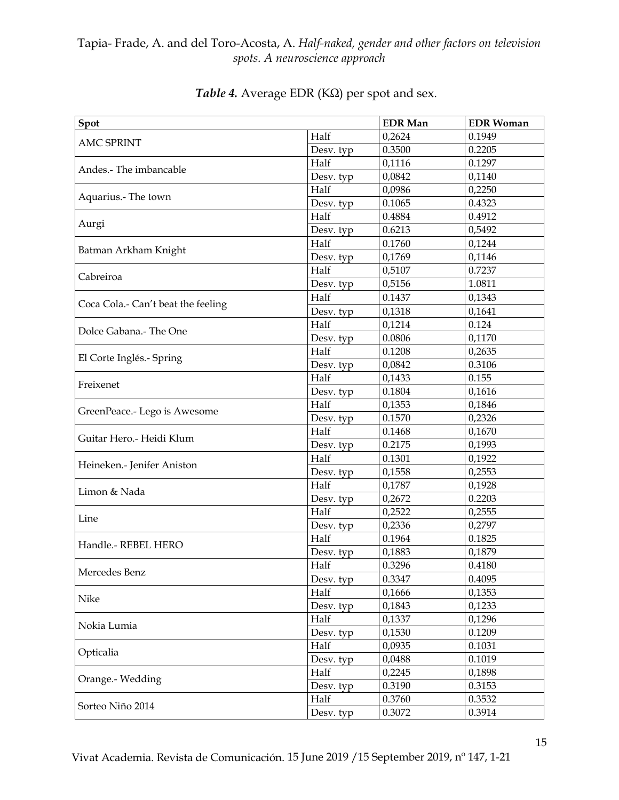| Spot                               |           | <b>EDR</b> Man | <b>EDR Woman</b> |
|------------------------------------|-----------|----------------|------------------|
|                                    | Half      | 0,2624         | 0.1949           |
| <b>AMC SPRINT</b>                  | Desv. typ | 0.3500         | 0.2205           |
|                                    | Half      | 0,1116         | 0.1297           |
| Andes.- The imbancable             | Desv. typ | 0,0842         | 0,1140           |
|                                    | Half      | 0,0986         | 0,2250           |
| Aquarius.- The town                | Desv. typ | 0.1065         | 0.4323           |
|                                    | Half      | 0.4884         | 0.4912           |
| Aurgi                              | Desv. typ | 0.6213         | 0,5492           |
|                                    | Half      | 0.1760         | 0,1244           |
| Batman Arkham Knight               | Desv. typ | 0,1769         | 0,1146           |
| Cabreiroa                          | Half      | 0,5107         | 0.7237           |
|                                    | Desv. typ | 0,5156         | 1.0811           |
|                                    | Half      | 0.1437         | 0,1343           |
| Coca Cola.- Can't beat the feeling | Desv. typ | 0,1318         | 0,1641           |
|                                    | Half      | 0,1214         | 0.124            |
| Dolce Gabana.- The One             | Desv. typ | 0.0806         | 0,1170           |
|                                    | Half      | 0.1208         | 0,2635           |
| El Corte Inglés.- Spring           | Desv. typ | 0,0842         | 0.3106           |
|                                    | Half      | 0,1433         | 0.155            |
| Freixenet                          | Desv. typ | 0.1804         | 0,1616           |
|                                    | Half      | 0,1353         | 0,1846           |
| GreenPeace.- Lego is Awesome       | Desv. typ | 0.1570         | 0,2326           |
|                                    | Half      | 0.1468         | 0,1670           |
| Guitar Hero.- Heidi Klum           | Desv. typ | 0.2175         | 0,1993           |
|                                    | Half      | 0.1301         | 0,1922           |
| Heineken.- Jenifer Aniston         | Desv. typ | 0,1558         | 0,2553           |
| Limon & Nada                       | Half      | 0,1787         | 0,1928           |
|                                    | Desv. typ | 0,2672         | 0.2203           |
| Line                               | Half      | 0,2522         | 0,2555           |
|                                    | Desv. typ | 0,2336         | 0,2797           |
| Handle.- REBEL HERO                | Half      | 0.1964         | 0.1825           |
|                                    | Desv. typ | 0,1883         | 0,1879           |
| Mercedes Benz                      | Half      | 0.3296         | 0.4180           |
|                                    | Desy. typ | 0.3347         | 0.4095           |
| Nike                               | Half      | 0,1666         | 0,1353           |
|                                    | Desv. typ | 0,1843         | 0,1233           |
| Nokia Lumia                        | Half      | 0,1337         | 0,1296           |
|                                    | Desv. typ | 0,1530         | 0.1209           |
| Opticalia                          | Half      | 0,0935         | 0.1031           |
|                                    | Desv. typ | 0,0488         | 0.1019           |
| Orange.- Wedding                   | Half      | 0,2245         | 0,1898           |
|                                    | Desv. typ | 0.3190         | 0.3153           |
| Sorteo Niño 2014                   | Half      | 0.3760         | 0.3532           |
|                                    | Desv. typ | 0.3072         | 0.3914           |

# *Table 4.* Average EDR (KΩ) per spot and sex.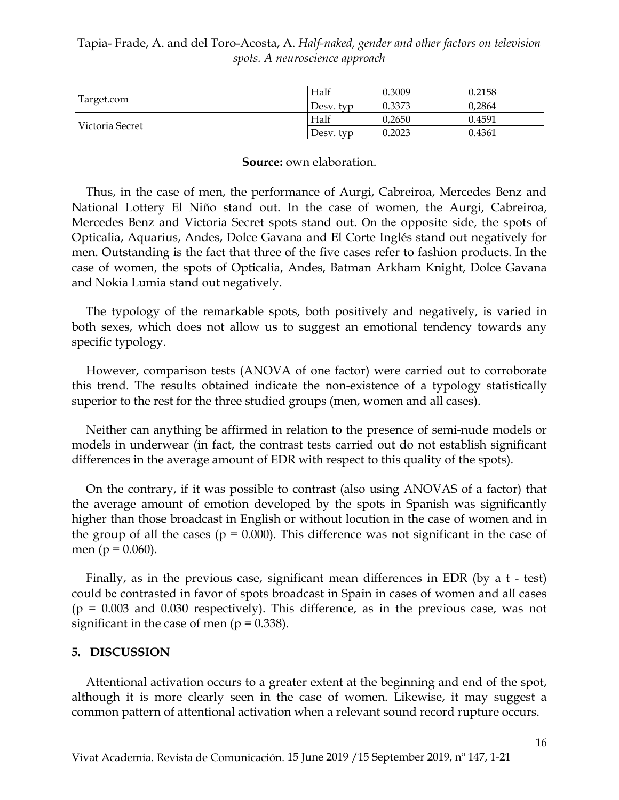| Tapia- Frade, A. and del Toro-Acosta, A. Half-naked, gender and other factors on television |  |
|---------------------------------------------------------------------------------------------|--|
| spots. A neuroscience approach                                                              |  |

| Target.com      | Half      | 0.3009 | 0.2158 |
|-----------------|-----------|--------|--------|
|                 | Desy, typ | 0.3373 | 0,2864 |
| Victoria Secret | Half      | 0.2650 | 0.4591 |
|                 | Desy, typ | 0.2023 | 0.4361 |

#### **Source:** own elaboration.

Thus, in the case of men, the performance of Aurgi, Cabreiroa, Mercedes Benz and National Lottery El Niño stand out. In the case of women, the Aurgi, Cabreiroa, Mercedes Benz and Victoria Secret spots stand out. On the opposite side, the spots of Opticalia, Aquarius, Andes, Dolce Gavana and El Corte Inglés stand out negatively for men. Outstanding is the fact that three of the five cases refer to fashion products. In the case of women, the spots of Opticalia, Andes, Batman Arkham Knight, Dolce Gavana and Nokia Lumia stand out negatively.

The typology of the remarkable spots, both positively and negatively, is varied in both sexes, which does not allow us to suggest an emotional tendency towards any specific typology.

However, comparison tests (ANOVA of one factor) were carried out to corroborate this trend. The results obtained indicate the non-existence of a typology statistically superior to the rest for the three studied groups (men, women and all cases).

Neither can anything be affirmed in relation to the presence of semi-nude models or models in underwear (in fact, the contrast tests carried out do not establish significant differences in the average amount of EDR with respect to this quality of the spots).

On the contrary, if it was possible to contrast (also using ANOVAS of a factor) that the average amount of emotion developed by the spots in Spanish was significantly higher than those broadcast in English or without locution in the case of women and in the group of all the cases ( $p = 0.000$ ). This difference was not significant in the case of men ( $p = 0.060$ ).

Finally, as in the previous case, significant mean differences in EDR (by a t - test) could be contrasted in favor of spots broadcast in Spain in cases of women and all cases  $(p = 0.003$  and 0.030 respectively). This difference, as in the previous case, was not significant in the case of men ( $p = 0.338$ ).

#### **5. DISCUSSION**

Attentional activation occurs to a greater extent at the beginning and end of the spot, although it is more clearly seen in the case of women. Likewise, it may suggest a common pattern of attentional activation when a relevant sound record rupture occurs.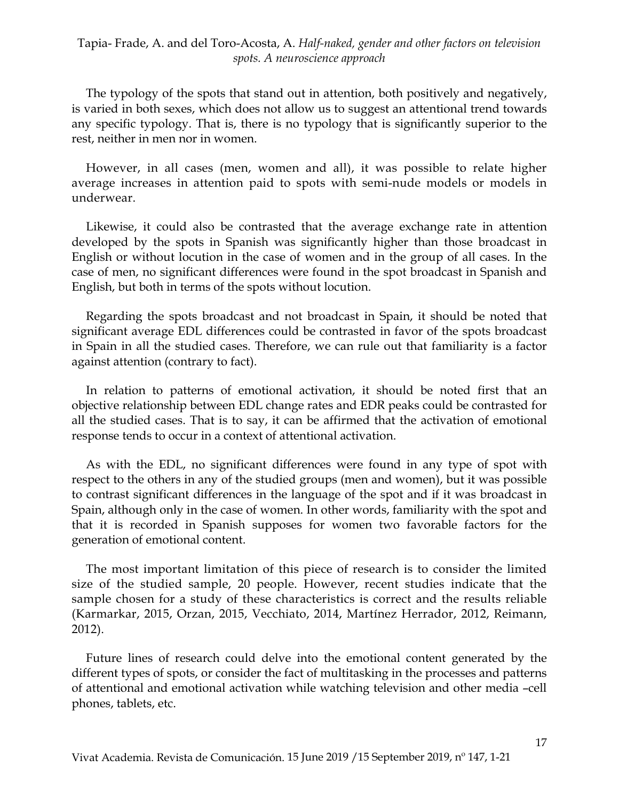The typology of the spots that stand out in attention, both positively and negatively, is varied in both sexes, which does not allow us to suggest an attentional trend towards any specific typology. That is, there is no typology that is significantly superior to the rest, neither in men nor in women.

However, in all cases (men, women and all), it was possible to relate higher average increases in attention paid to spots with semi-nude models or models in underwear.

Likewise, it could also be contrasted that the average exchange rate in attention developed by the spots in Spanish was significantly higher than those broadcast in English or without locution in the case of women and in the group of all cases. In the case of men, no significant differences were found in the spot broadcast in Spanish and English, but both in terms of the spots without locution.

Regarding the spots broadcast and not broadcast in Spain, it should be noted that significant average EDL differences could be contrasted in favor of the spots broadcast in Spain in all the studied cases. Therefore, we can rule out that familiarity is a factor against attention (contrary to fact).

In relation to patterns of emotional activation, it should be noted first that an objective relationship between EDL change rates and EDR peaks could be contrasted for all the studied cases. That is to say, it can be affirmed that the activation of emotional response tends to occur in a context of attentional activation.

As with the EDL, no significant differences were found in any type of spot with respect to the others in any of the studied groups (men and women), but it was possible to contrast significant differences in the language of the spot and if it was broadcast in Spain, although only in the case of women. In other words, familiarity with the spot and that it is recorded in Spanish supposes for women two favorable factors for the generation of emotional content.

The most important limitation of this piece of research is to consider the limited size of the studied sample, 20 people. However, recent studies indicate that the sample chosen for a study of these characteristics is correct and the results reliable (Karmarkar, 2015, Orzan, 2015, Vecchiato, 2014, Martínez Herrador, 2012, Reimann, 2012).

Future lines of research could delve into the emotional content generated by the different types of spots, or consider the fact of multitasking in the processes and patterns of attentional and emotional activation while watching television and other media –cell phones, tablets, etc.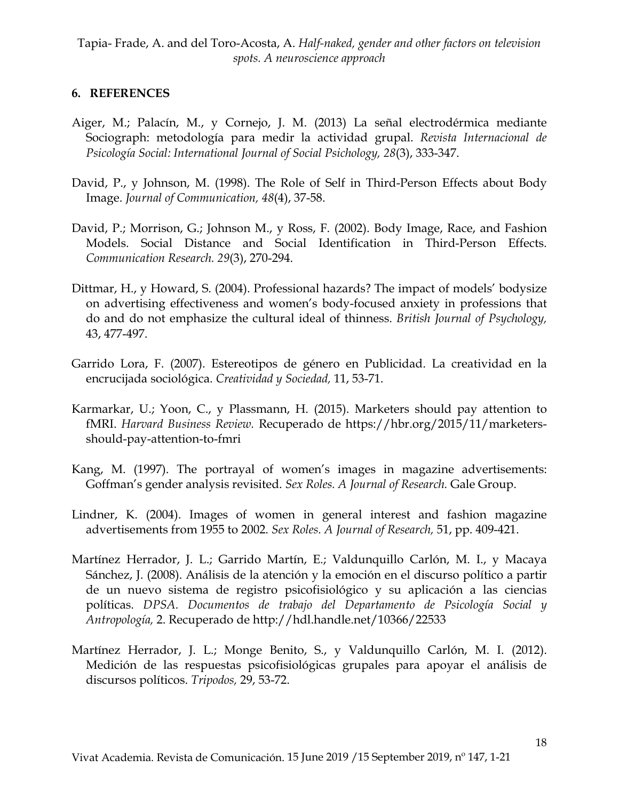## **6. REFERENCES**

- Aiger, M.; Palacín, M., y Cornejo, J. M. (2013) La señal electrodérmica mediante Sociograph: metodología para medir la actividad grupal. *Revista Internacional de Psicología Social: International Journal of Social Psichology, 28*(3), 333-347.
- David, P., y Johnson, M. (1998). The Role of Self in Third-Person Effects about Body Image. *Journal of Communication, 48*(4), 37-58.
- David, P.; Morrison, G.; Johnson M., y Ross, F. (2002). Body Image, Race, and Fashion Models. Social Distance and Social Identification in Third-Person Effects. *Communication Research. 29*(3), 270-294.
- Dittmar, H., y Howard, S. (2004). Professional hazards? The impact of models' bodysize on advertising effectiveness and women's body-focused anxiety in professions that do and do not emphasize the cultural ideal of thinness. *British Journal of Psychology,* 43, 477-497.
- Garrido Lora, F. (2007). Estereotipos de género en Publicidad. La creatividad en la encrucijada sociológica. *Creatividad y Sociedad,* 11, 53-71.
- Karmarkar, U.; Yoon, C., y Plassmann, H. (2015). Marketers should pay attention to fMRI. *Harvard Business Review.* Recuperado de https://hbr.org/2015/11/marketersshould-pay-attention-to-fmri
- Kang, M. (1997). The portrayal of women's images in magazine advertisements: Goffman's gender analysis revisited. *Sex Roles. A Journal of Research.* Gale Group.
- Lindner, K. (2004). Images of women in general interest and fashion magazine advertisements from 1955 to 2002. *Sex Roles. A Journal of Research,* 51, pp. 409-421.
- Martínez Herrador, J. L.; Garrido Martín, E.; Valdunquillo Carlón, M. I., y Macaya Sánchez, J. (2008). Análisis de la atención y la emoción en el discurso político a partir de un nuevo sistema de registro psicofisiológico y su aplicación a las ciencias políticas. *DPSA. Documentos de trabajo del Departamento de Psicología Social y Antropología,* 2. Recuperado de http://hdl.handle.net/10366/22533
- Martínez Herrador, J. L.; Monge Benito, S., y Valdunquillo Carlón, M. I. (2012). Medición de las respuestas psicofisiológicas grupales para apoyar el análisis de discursos políticos. *Tripodos,* 29, 53-72.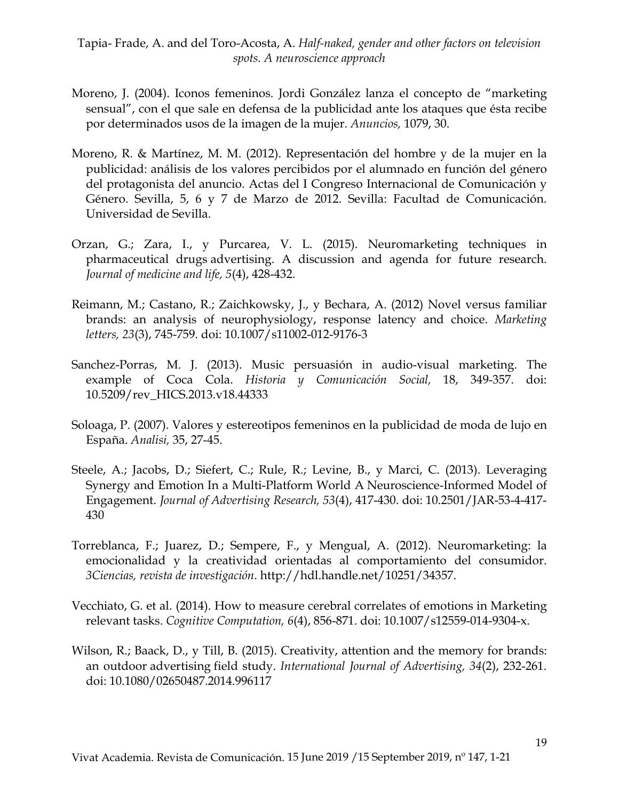- Moreno, J. (2004). Iconos femeninos. Jordi González lanza el concepto de "marketing sensual", con el que sale en defensa de la publicidad ante los ataques que ésta recibe por determinados usos de la imagen de la mujer. *Anuncios,* 1079, 30.
- Moreno, R. & Martínez, M. M. (2012). Representación del hombre y de la mujer en la publicidad: análisis de los valores percibidos por el alumnado en función del género del protagonista del anuncio. Actas del I Congreso Internacional de Comunicación y Género. Sevilla, 5, 6 y 7 de Marzo de 2012. Sevilla: Facultad de Comunicación. Universidad de Sevilla.
- Orzan, G.; Zara, I., y Purcarea, V. L. (2015). Neuromarketing techniques in pharmaceutical drugs advertising. A discussion and agenda for future research. *Journal of medicine and life, 5*(4), 428-432.
- Reimann, M.; Castano, R.; Zaichkowsky, J., y Bechara, A. (2012) Novel versus familiar brands: an analysis of neurophysiology, response latency and choice. *Marketing letters, 23*(3), 745-759. doi: 10.1007/s11002-012-9176-3
- Sanchez-Porras, M. J. (2013). Music persuasión in audio-visual marketing. The example of Coca Cola. *Historia y Comunicación Social,* 18, 349-357. doi: 10.5209/rev\_HICS.2013.v18.44333
- Soloaga, P. (2007). Valores y estereotipos femeninos en la publicidad de moda de lujo en España. *Analisi,* 35, 27-45.
- Steele, A.; Jacobs, D.; Siefert, C.; Rule, R.; Levine, B., y Marci, C. (2013). Leveraging Synergy and Emotion In a Multi-Platform World A Neuroscience-Informed Model of Engagement. *Journal of Advertising Research, 53*(4), 417-430. doi: 10.2501/JAR-53-4-417- 430
- Torreblanca, F.; Juarez, D.; Sempere, F., y Mengual, A. (2012). Neuromarketing: la emocionalidad y la creatividad orientadas al comportamiento del consumidor. *3Ciencias, revista de investigación*. [http://hdl.handle.net/10251/34357.](http://hdl.handle.net/10251/34357)
- Vecchiato, G. et al. (2014). How to measure cerebral correlates of emotions in Marketing relevant tasks. *Cognitive Computation, 6*(4), 856-871. doi: 10.1007/s12559-014-9304-x.
- Wilson, R.; Baack, D., y Till, B. (2015). Creativity, attention and the memory for brands: an outdoor advertising field study. *International Journal of Advertising, 34*(2), 232-261. doi: 10.1080/02650487.2014.996117